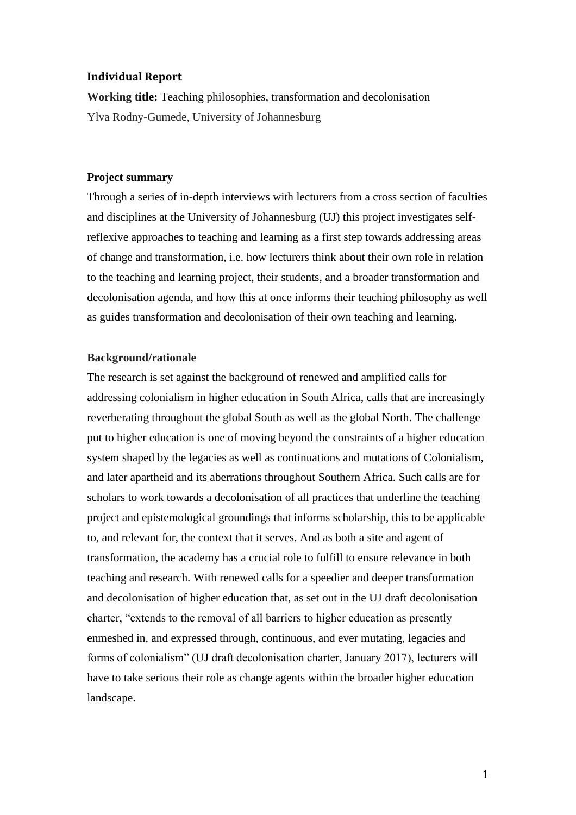# **Individual Report**

**Working title:** Teaching philosophies, transformation and decolonisation Ylva Rodny-Gumede, University of Johannesburg

# **Project summary**

Through a series of in-depth interviews with lecturers from a cross section of faculties and disciplines at the University of Johannesburg (UJ) this project investigates selfreflexive approaches to teaching and learning as a first step towards addressing areas of change and transformation, i.e. how lecturers think about their own role in relation to the teaching and learning project, their students, and a broader transformation and decolonisation agenda, and how this at once informs their teaching philosophy as well as guides transformation and decolonisation of their own teaching and learning.

#### **Background/rationale**

The research is set against the background of renewed and amplified calls for addressing colonialism in higher education in South Africa, calls that are increasingly reverberating throughout the global South as well as the global North. The challenge put to higher education is one of moving beyond the constraints of a higher education system shaped by the legacies as well as continuations and mutations of Colonialism, and later apartheid and its aberrations throughout Southern Africa. Such calls are for scholars to work towards a decolonisation of all practices that underline the teaching project and epistemological groundings that informs scholarship, this to be applicable to, and relevant for, the context that it serves. And as both a site and agent of transformation, the academy has a crucial role to fulfill to ensure relevance in both teaching and research. With renewed calls for a speedier and deeper transformation and decolonisation of higher education that, as set out in the UJ draft decolonisation charter, "extends to the removal of all barriers to higher education as presently enmeshed in, and expressed through, continuous, and ever mutating, legacies and forms of colonialism" (UJ draft decolonisation charter, January 2017), lecturers will have to take serious their role as change agents within the broader higher education landscape.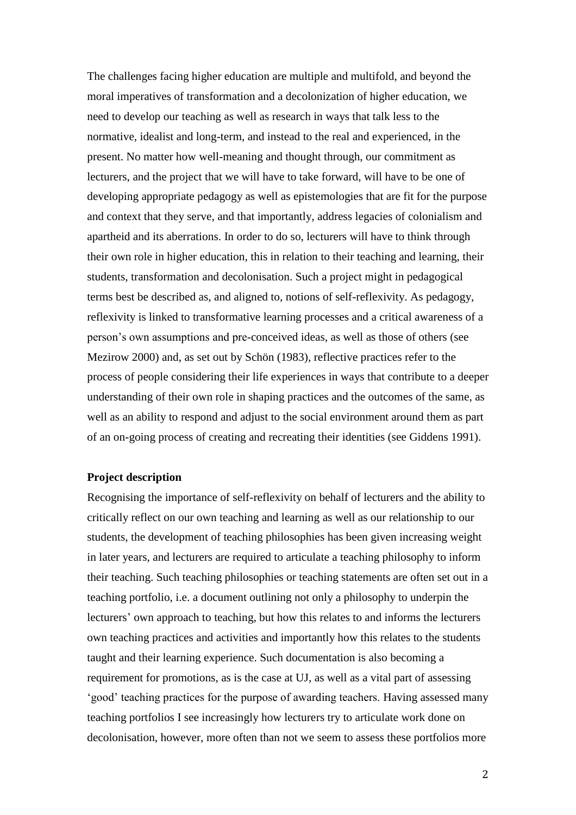The challenges facing higher education are multiple and multifold, and beyond the moral imperatives of transformation and a decolonization of higher education, we need to develop our teaching as well as research in ways that talk less to the normative, idealist and long-term, and instead to the real and experienced, in the present. No matter how well-meaning and thought through, our commitment as lecturers, and the project that we will have to take forward, will have to be one of developing appropriate pedagogy as well as epistemologies that are fit for the purpose and context that they serve, and that importantly, address legacies of colonialism and apartheid and its aberrations. In order to do so, lecturers will have to think through their own role in higher education, this in relation to their teaching and learning, their students, transformation and decolonisation. Such a project might in pedagogical terms best be described as, and aligned to, notions of self-reflexivity. As pedagogy, reflexivity is linked to transformative learning processes and a critical awareness of a person's own assumptions and pre-conceived ideas, as well as those of others (see Mezirow 2000) and, as set out by Schön (1983), reflective practices refer to the process of people considering their life experiences in ways that contribute to a deeper understanding of their own role in shaping practices and the outcomes of the same, as well as an ability to respond and adjust to the social environment around them as part of an on-going process of creating and recreating their identities (see Giddens 1991).

#### **Project description**

Recognising the importance of self-reflexivity on behalf of lecturers and the ability to critically reflect on our own teaching and learning as well as our relationship to our students, the development of teaching philosophies has been given increasing weight in later years, and lecturers are required to articulate a teaching philosophy to inform their teaching. Such teaching philosophies or teaching statements are often set out in a teaching portfolio, i.e. a document outlining not only a philosophy to underpin the lecturers' own approach to teaching, but how this relates to and informs the lecturers own teaching practices and activities and importantly how this relates to the students taught and their learning experience. Such documentation is also becoming a requirement for promotions, as is the case at UJ, as well as a vital part of assessing 'good' teaching practices for the purpose of awarding teachers. Having assessed many teaching portfolios I see increasingly how lecturers try to articulate work done on decolonisation, however, more often than not we seem to assess these portfolios more

2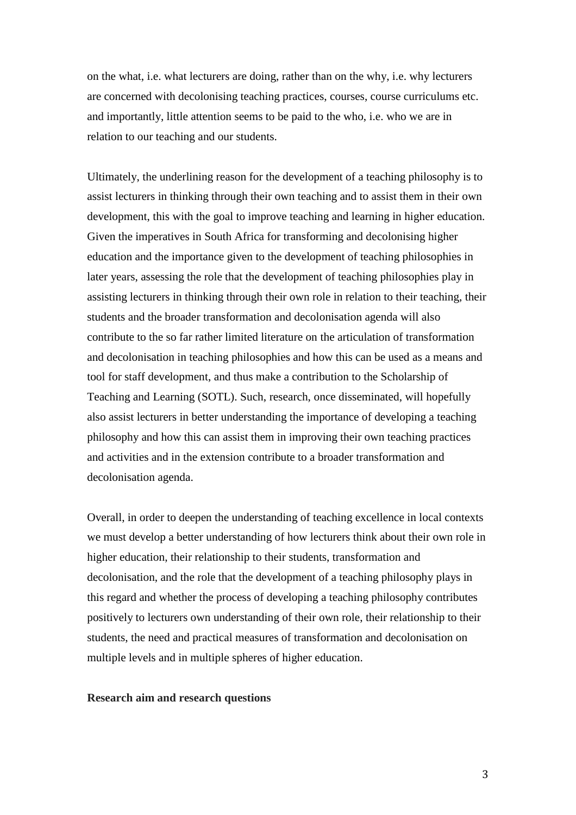on the what, i.e. what lecturers are doing, rather than on the why, i.e. why lecturers are concerned with decolonising teaching practices, courses, course curriculums etc. and importantly, little attention seems to be paid to the who, i.e. who we are in relation to our teaching and our students.

Ultimately, the underlining reason for the development of a teaching philosophy is to assist lecturers in thinking through their own teaching and to assist them in their own development, this with the goal to improve teaching and learning in higher education. Given the imperatives in South Africa for transforming and decolonising higher education and the importance given to the development of teaching philosophies in later years, assessing the role that the development of teaching philosophies play in assisting lecturers in thinking through their own role in relation to their teaching, their students and the broader transformation and decolonisation agenda will also contribute to the so far rather limited literature on the articulation of transformation and decolonisation in teaching philosophies and how this can be used as a means and tool for staff development, and thus make a contribution to the Scholarship of Teaching and Learning (SOTL). Such, research, once disseminated, will hopefully also assist lecturers in better understanding the importance of developing a teaching philosophy and how this can assist them in improving their own teaching practices and activities and in the extension contribute to a broader transformation and decolonisation agenda.

Overall, in order to deepen the understanding of teaching excellence in local contexts we must develop a better understanding of how lecturers think about their own role in higher education, their relationship to their students, transformation and decolonisation, and the role that the development of a teaching philosophy plays in this regard and whether the process of developing a teaching philosophy contributes positively to lecturers own understanding of their own role, their relationship to their students, the need and practical measures of transformation and decolonisation on multiple levels and in multiple spheres of higher education.

#### **Research aim and research questions**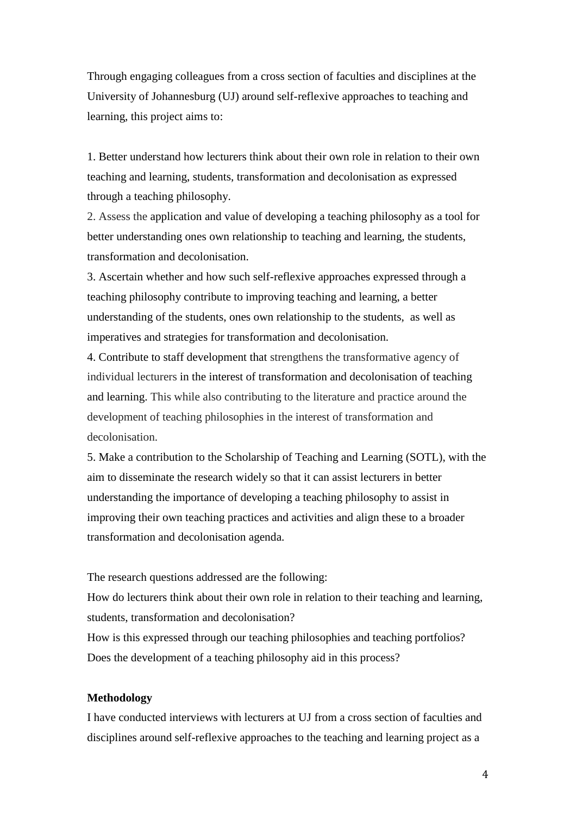Through engaging colleagues from a cross section of faculties and disciplines at the University of Johannesburg (UJ) around self-reflexive approaches to teaching and learning, this project aims to:

1. Better understand how lecturers think about their own role in relation to their own teaching and learning, students, transformation and decolonisation as expressed through a teaching philosophy.

2. Assess the application and value of developing a teaching philosophy as a tool for better understanding ones own relationship to teaching and learning, the students, transformation and decolonisation.

3. Ascertain whether and how such self-reflexive approaches expressed through a teaching philosophy contribute to improving teaching and learning, a better understanding of the students, ones own relationship to the students, as well as imperatives and strategies for transformation and decolonisation.

4. Contribute to staff development that strengthens the transformative agency of individual lecturers in the interest of transformation and decolonisation of teaching and learning. This while also contributing to the literature and practice around the development of teaching philosophies in the interest of transformation and decolonisation.

5. Make a contribution to the Scholarship of Teaching and Learning (SOTL), with the aim to disseminate the research widely so that it can assist lecturers in better understanding the importance of developing a teaching philosophy to assist in improving their own teaching practices and activities and align these to a broader transformation and decolonisation agenda.

The research questions addressed are the following:

How do lecturers think about their own role in relation to their teaching and learning, students, transformation and decolonisation?

How is this expressed through our teaching philosophies and teaching portfolios? Does the development of a teaching philosophy aid in this process?

# **Methodology**

I have conducted interviews with lecturers at UJ from a cross section of faculties and disciplines around self-reflexive approaches to the teaching and learning project as a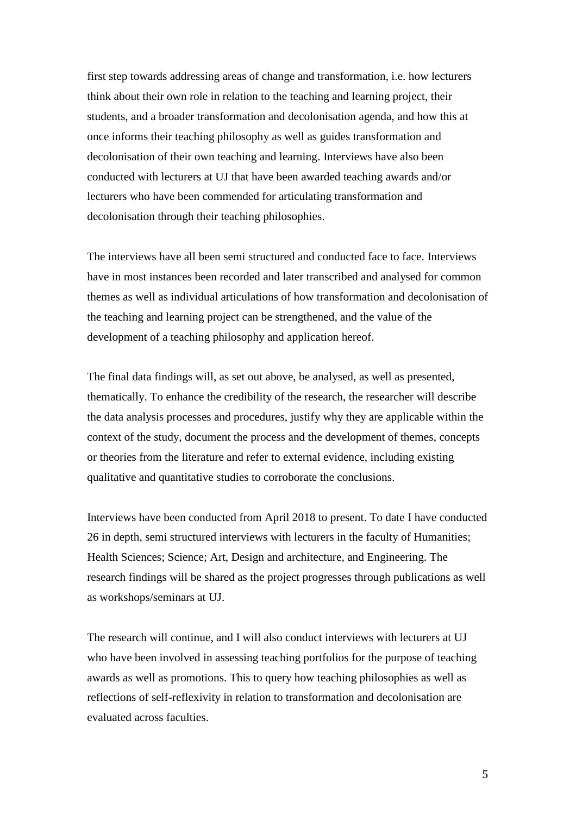first step towards addressing areas of change and transformation, i.e. how lecturers think about their own role in relation to the teaching and learning project, their students, and a broader transformation and decolonisation agenda, and how this at once informs their teaching philosophy as well as guides transformation and decolonisation of their own teaching and learning. Interviews have also been conducted with lecturers at UJ that have been awarded teaching awards and/or lecturers who have been commended for articulating transformation and decolonisation through their teaching philosophies.

The interviews have all been semi structured and conducted face to face. Interviews have in most instances been recorded and later transcribed and analysed for common themes as well as individual articulations of how transformation and decolonisation of the teaching and learning project can be strengthened, and the value of the development of a teaching philosophy and application hereof.

The final data findings will, as set out above, be analysed, as well as presented, thematically. To enhance the credibility of the research, the researcher will describe the data analysis processes and procedures, justify why they are applicable within the context of the study, document the process and the development of themes, concepts or theories from the literature and refer to external evidence, including existing qualitative and quantitative studies to corroborate the conclusions.

Interviews have been conducted from April 2018 to present. To date I have conducted 26 in depth, semi structured interviews with lecturers in the faculty of Humanities; Health Sciences; Science; Art, Design and architecture, and Engineering. The research findings will be shared as the project progresses through publications as well as workshops/seminars at UJ.

The research will continue, and I will also conduct interviews with lecturers at UJ who have been involved in assessing teaching portfolios for the purpose of teaching awards as well as promotions. This to query how teaching philosophies as well as reflections of self-reflexivity in relation to transformation and decolonisation are evaluated across faculties.